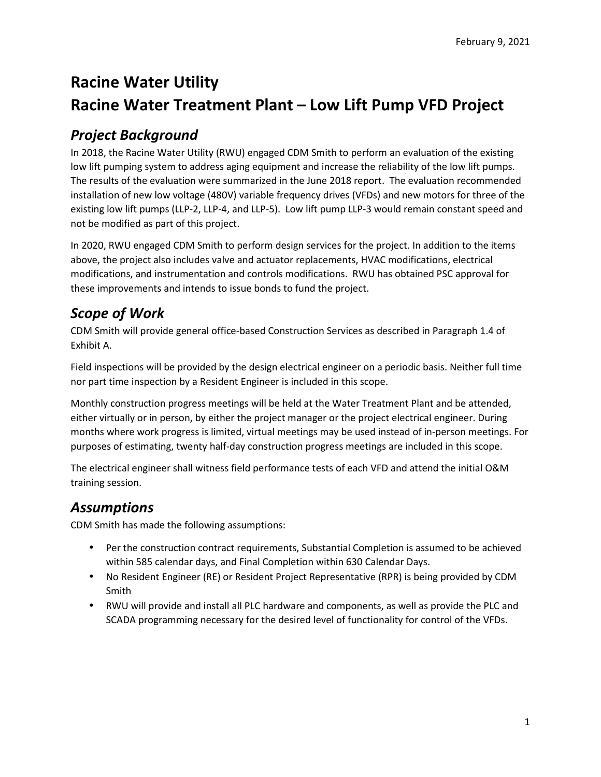# **Racine Water Utility Racine Water Treatment Plant – Low Lift Pump VFD Project**

# *Project Background*

In 2018, the Racine Water Utility (RWU) engaged CDM Smith to perform an evaluation of the existing low lift pumping system to address aging equipment and increase the reliability of the low lift pumps. The results of the evaluation were summarized in the June 2018 report. The evaluation recommended installation of new low voltage (480V) variable frequency drives (VFDs) and new motors for three of the existing low lift pumps (LLP-2, LLP-4, and LLP-5). Low lift pump LLP-3 would remain constant speed and not be modified as part of this project.

In 2020, RWU engaged CDM Smith to perform design services for the project. In addition to the items above, the project also includes valve and actuator replacements, HVAC modifications, electrical modifications, and instrumentation and controls modifications. RWU has obtained PSC approval for these improvements and intends to issue bonds to fund the project.

# *Scope of Work*

CDM Smith will provide general office-based Construction Services as described in Paragraph 1.4 of Exhibit A.

Field inspections will be provided by the design electrical engineer on a periodic basis. Neither full time nor part time inspection by a Resident Engineer is included in this scope.

Monthly construction progress meetings will be held at the Water Treatment Plant and be attended, either virtually or in person, by either the project manager or the project electrical engineer. During months where work progress is limited, virtual meetings may be used instead of in-person meetings. For purposes of estimating, twenty half-day construction progress meetings are included in this scope.

The electrical engineer shall witness field performance tests of each VFD and attend the initial O&M training session.

## *Assumptions*

CDM Smith has made the following assumptions:

- Per the construction contract requirements, Substantial Completion is assumed to be achieved within 585 calendar days, and Final Completion within 630 Calendar Days.
- No Resident Engineer (RE) or Resident Project Representative (RPR) is being provided by CDM Smith
- RWU will provide and install all PLC hardware and components, as well as provide the PLC and SCADA programming necessary for the desired level of functionality for control of the VFDs.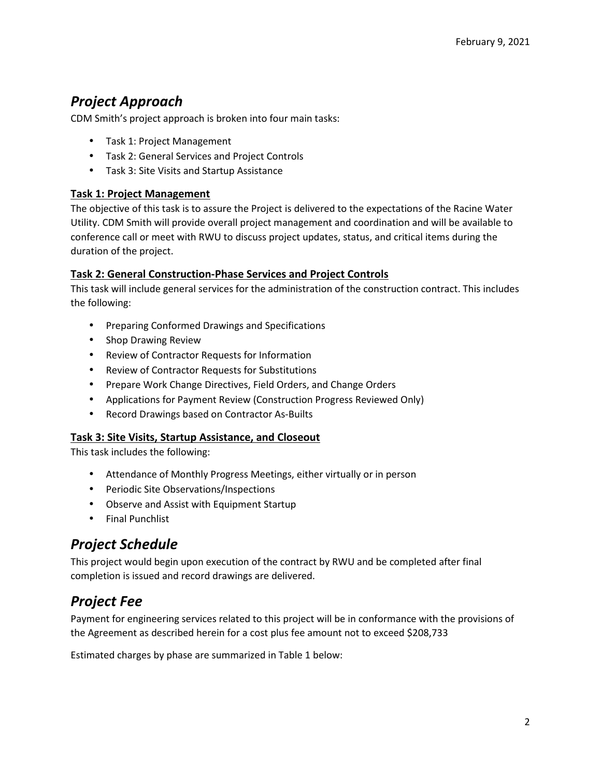# *Project Approach*

CDM Smith's project approach is broken into four main tasks:

- Task 1: Project Management
- Task 2: General Services and Project Controls
- Task 3: Site Visits and Startup Assistance

### **Task 1: Project Management**

The objective of this task is to assure the Project is delivered to the expectations of the Racine Water Utility. CDM Smith will provide overall project management and coordination and will be available to conference call or meet with RWU to discuss project updates, status, and critical items during the duration of the project.

### **Task 2: General Construction-Phase Services and Project Controls**

This task will include general services for the administration of the construction contract. This includes the following:

- Preparing Conformed Drawings and Specifications
- Shop Drawing Review
- Review of Contractor Requests for Information
- Review of Contractor Requests for Substitutions
- Prepare Work Change Directives, Field Orders, and Change Orders
- Applications for Payment Review (Construction Progress Reviewed Only)
- Record Drawings based on Contractor As-Builts

### **Task 3: Site Visits, Startup Assistance, and Closeout**

This task includes the following:

- Attendance of Monthly Progress Meetings, either virtually or in person
- Periodic Site Observations/Inspections
- Observe and Assist with Equipment Startup
- Final Punchlist

### *Project Schedule*

This project would begin upon execution of the contract by RWU and be completed after final completion is issued and record drawings are delivered.

## *Project Fee*

Payment for engineering services related to this project will be in conformance with the provisions of the Agreement as described herein for a cost plus fee amount not to exceed \$208,733

Estimated charges by phase are summarized in Table 1 below: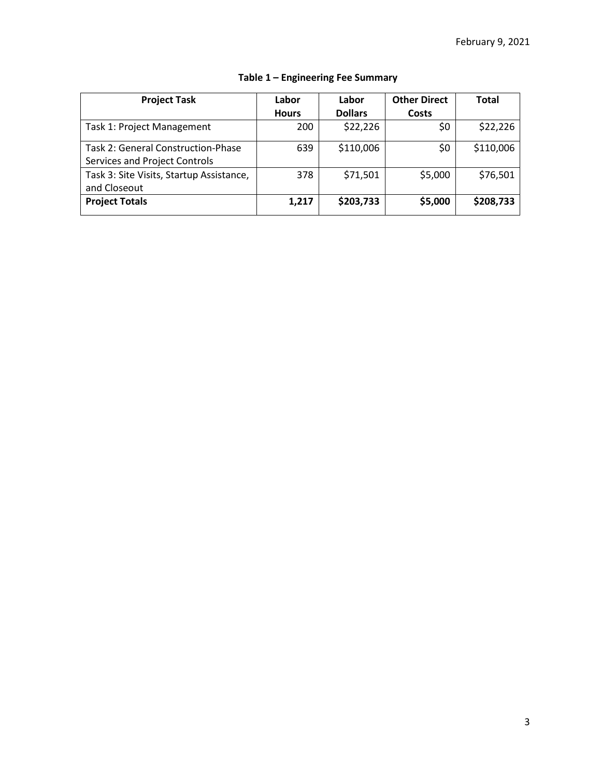| <b>Project Task</b>                                                 | Labor        | Labor          | <b>Other Direct</b> | <b>Total</b> |
|---------------------------------------------------------------------|--------------|----------------|---------------------|--------------|
|                                                                     | <b>Hours</b> | <b>Dollars</b> | Costs               |              |
| Task 1: Project Management                                          | 200          | \$22,226       | \$0                 | \$22,226     |
| Task 2: General Construction-Phase<br>Services and Project Controls | 639          | \$110,006      | \$0                 | \$110,006    |
| Task 3: Site Visits, Startup Assistance,<br>and Closeout            | 378          | \$71,501       | \$5,000             | \$76,501     |
| <b>Project Totals</b>                                               | 1,217        | \$203,733      | \$5,000             | \$208,733    |

### **Table 1 – Engineering Fee Summary**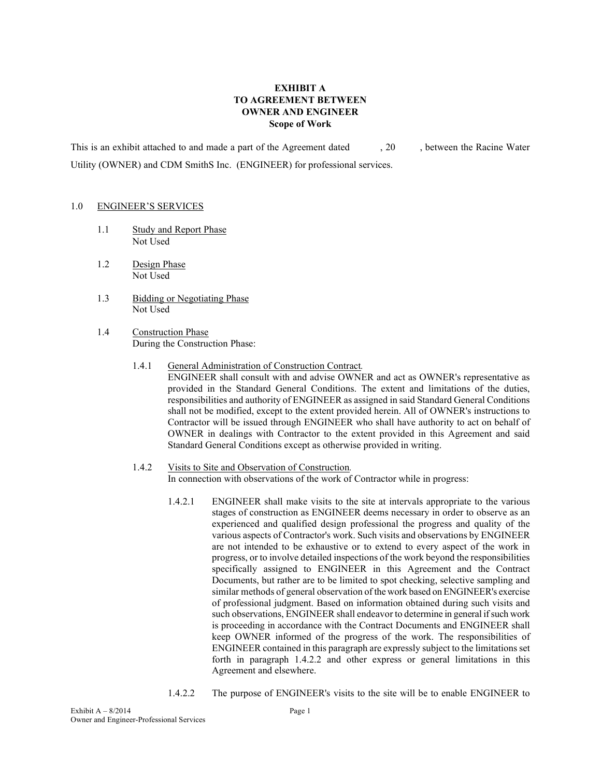#### **EXHIBIT A TO AGREEMENT BETWEEN OWNER AND ENGINEER Scope of Work**

This is an exhibit attached to and made a part of the Agreement dated , 20 , between the Racine Water Utility (OWNER) and CDM SmithS Inc. (ENGINEER) for professional services.

#### 1.0 ENGINEER'S SERVICES

- 1.1 Study and Report Phase Not Used
- 1.2 Design Phase Not Used
- 1.3 Bidding or Negotiating Phase Not Used
- 1.4 Construction Phase During the Construction Phase:
	- 1.4.1 General Administration of Construction Contract*.* ENGINEER shall consult with and advise OWNER and act as OWNER's representative as provided in the Standard General Conditions. The extent and limitations of the duties, responsibilities and authority of ENGINEER as assigned in said Standard General Conditions shall not be modified, except to the extent provided herein. All of OWNER's instructions to Contractor will be issued through ENGINEER who shall have authority to act on behalf of OWNER in dealings with Contractor to the extent provided in this Agreement and said
	- 1.4.2 Visits to Site and Observation of Construction*.* In connection with observations of the work of Contractor while in progress:

Standard General Conditions except as otherwise provided in writing.

- 1.4.2.1 ENGINEER shall make visits to the site at intervals appropriate to the various stages of construction as ENGINEER deems necessary in order to observe as an experienced and qualified design professional the progress and quality of the various aspects of Contractor's work. Such visits and observations by ENGINEER are not intended to be exhaustive or to extend to every aspect of the work in progress, or to involve detailed inspections of the work beyond the responsibilities specifically assigned to ENGINEER in this Agreement and the Contract Documents, but rather are to be limited to spot checking, selective sampling and similar methods of general observation of the work based on ENGINEER's exercise of professional judgment. Based on information obtained during such visits and such observations, ENGINEER shall endeavor to determine in general if such work is proceeding in accordance with the Contract Documents and ENGINEER shall keep OWNER informed of the progress of the work. The responsibilities of ENGINEER contained in this paragraph are expressly subject to the limitations set forth in paragraph 1.4.2.2 and other express or general limitations in this Agreement and elsewhere.
- 1.4.2.2 The purpose of ENGINEER's visits to the site will be to enable ENGINEER to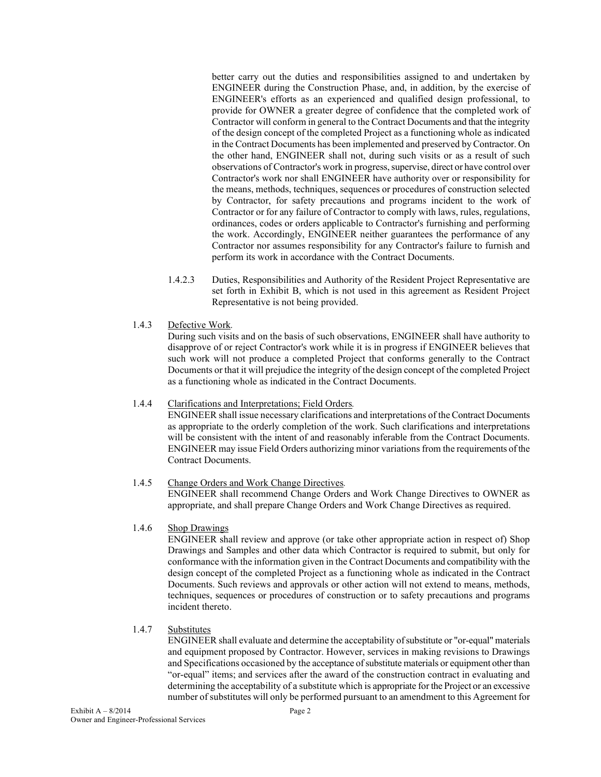better carry out the duties and responsibilities assigned to and undertaken by ENGINEER during the Construction Phase, and, in addition, by the exercise of ENGINEER's efforts as an experienced and qualified design professional, to provide for OWNER a greater degree of confidence that the completed work of Contractor will conform in general to the Contract Documents and that the integrity of the design concept of the completed Project as a functioning whole as indicated in the Contract Documents has been implemented and preserved by Contractor. On the other hand, ENGINEER shall not, during such visits or as a result of such observations of Contractor's work in progress, supervise, direct or have control over Contractor's work nor shall ENGINEER have authority over or responsibility for the means, methods, techniques, sequences or procedures of construction selected by Contractor, for safety precautions and programs incident to the work of Contractor or for any failure of Contractor to comply with laws, rules, regulations, ordinances, codes or orders applicable to Contractor's furnishing and performing the work. Accordingly, ENGINEER neither guarantees the performance of any Contractor nor assumes responsibility for any Contractor's failure to furnish and perform its work in accordance with the Contract Documents.

- 1.4.2.3 Duties, Responsibilities and Authority of the Resident Project Representative are set forth in Exhibit B, which is not used in this agreement as Resident Project Representative is not being provided.
- 1.4.3 Defective Work*.*

 During such visits and on the basis of such observations, ENGINEER shall have authority to disapprove of or reject Contractor's work while it is in progress if ENGINEER believes that such work will not produce a completed Project that conforms generally to the Contract Documents or that it will prejudice the integrity of the design concept of the completed Project as a functioning whole as indicated in the Contract Documents.

#### 1.4.4 Clarifications and Interpretations; Field Orders*.*

 ENGINEER shall issue necessary clarifications and interpretations of the Contract Documents as appropriate to the orderly completion of the work. Such clarifications and interpretations will be consistent with the intent of and reasonably inferable from the Contract Documents. ENGINEER may issue Field Orders authorizing minor variations from the requirements of the Contract Documents.

#### 1.4.5 Change Orders and Work Change Directives*.*

 ENGINEER shall recommend Change Orders and Work Change Directives to OWNER as appropriate, and shall prepare Change Orders and Work Change Directives as required.

#### 1.4.6 Shop Drawings

 ENGINEER shall review and approve (or take other appropriate action in respect of) Shop Drawings and Samples and other data which Contractor is required to submit, but only for conformance with the information given in the Contract Documents and compatibility with the design concept of the completed Project as a functioning whole as indicated in the Contract Documents. Such reviews and approvals or other action will not extend to means, methods, techniques, sequences or procedures of construction or to safety precautions and programs incident thereto.

#### 1.4.7 Substitutes

 ENGINEER shall evaluate and determine the acceptability of substitute or "or-equal" materials and equipment proposed by Contractor. However, services in making revisions to Drawings and Specifications occasioned by the acceptance of substitute materials or equipment other than "or-equal" items; and services after the award of the construction contract in evaluating and determining the acceptability of a substitute which is appropriate for the Project or an excessive number of substitutes will only be performed pursuant to an amendment to this Agreement for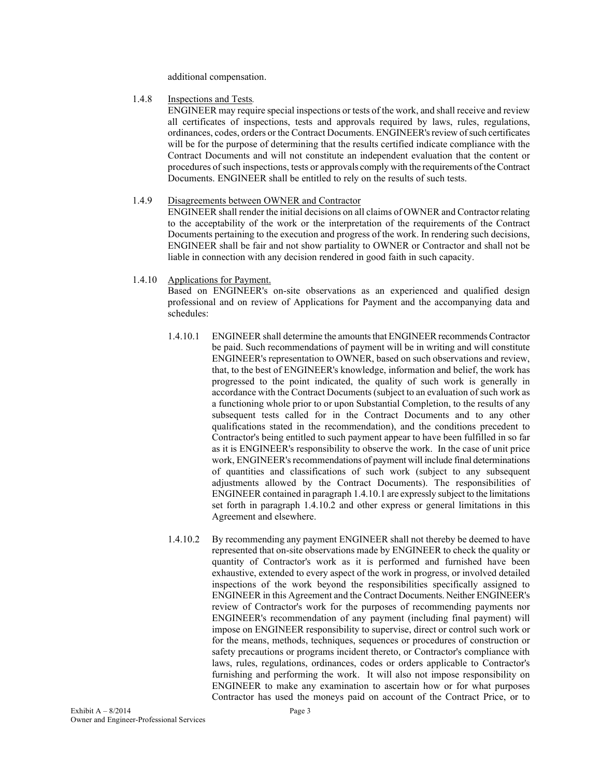additional compensation.

#### 1.4.8 Inspections and Tests*.*

 ENGINEER may require special inspections or tests of the work, and shall receive and review all certificates of inspections, tests and approvals required by laws, rules, regulations, ordinances, codes, orders or the Contract Documents. ENGINEER's review of such certificates will be for the purpose of determining that the results certified indicate compliance with the Contract Documents and will not constitute an independent evaluation that the content or procedures of such inspections, tests or approvals comply with the requirements of the Contract Documents. ENGINEER shall be entitled to rely on the results of such tests.

#### 1.4.9 Disagreements between OWNER and Contractor

 ENGINEER shall render the initial decisions on all claims of OWNER and Contractor relating to the acceptability of the work or the interpretation of the requirements of the Contract Documents pertaining to the execution and progress of the work. In rendering such decisions, ENGINEER shall be fair and not show partiality to OWNER or Contractor and shall not be liable in connection with any decision rendered in good faith in such capacity.

#### 1.4.10 Applications for Payment.

 Based on ENGINEER's on-site observations as an experienced and qualified design professional and on review of Applications for Payment and the accompanying data and schedules:

- 1.4.10.1 ENGINEER shall determine the amounts that ENGINEER recommends Contractor be paid. Such recommendations of payment will be in writing and will constitute ENGINEER's representation to OWNER, based on such observations and review, that, to the best of ENGINEER's knowledge, information and belief, the work has progressed to the point indicated, the quality of such work is generally in accordance with the Contract Documents (subject to an evaluation of such work as a functioning whole prior to or upon Substantial Completion, to the results of any subsequent tests called for in the Contract Documents and to any other qualifications stated in the recommendation), and the conditions precedent to Contractor's being entitled to such payment appear to have been fulfilled in so far as it is ENGINEER's responsibility to observe the work. In the case of unit price work, ENGINEER's recommendations of payment will include final determinations of quantities and classifications of such work (subject to any subsequent adjustments allowed by the Contract Documents). The responsibilities of ENGINEER contained in paragraph 1.4.10.1 are expressly subject to the limitations set forth in paragraph 1.4.10.2 and other express or general limitations in this Agreement and elsewhere.
- 1.4.10.2 By recommending any payment ENGINEER shall not thereby be deemed to have represented that on-site observations made by ENGINEER to check the quality or quantity of Contractor's work as it is performed and furnished have been exhaustive, extended to every aspect of the work in progress, or involved detailed inspections of the work beyond the responsibilities specifically assigned to ENGINEER in this Agreement and the Contract Documents. Neither ENGINEER's review of Contractor's work for the purposes of recommending payments nor ENGINEER's recommendation of any payment (including final payment) will impose on ENGINEER responsibility to supervise, direct or control such work or for the means, methods, techniques, sequences or procedures of construction or safety precautions or programs incident thereto, or Contractor's compliance with laws, rules, regulations, ordinances, codes or orders applicable to Contractor's furnishing and performing the work. It will also not impose responsibility on ENGINEER to make any examination to ascertain how or for what purposes Contractor has used the moneys paid on account of the Contract Price, or to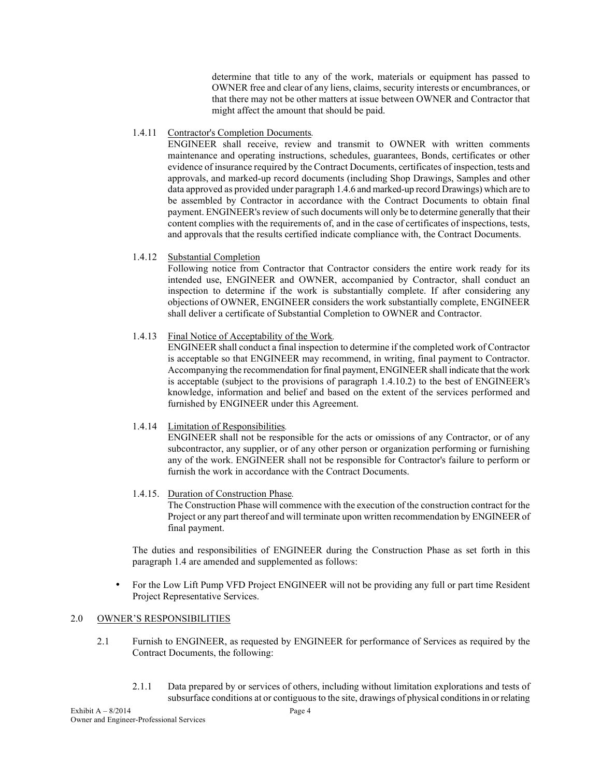determine that title to any of the work, materials or equipment has passed to OWNER free and clear of any liens, claims, security interests or encumbrances, or that there may not be other matters at issue between OWNER and Contractor that might affect the amount that should be paid.

#### 1.4.11 Contractor's Completion Documents*.*

 ENGINEER shall receive, review and transmit to OWNER with written comments maintenance and operating instructions, schedules, guarantees, Bonds, certificates or other evidence of insurance required by the Contract Documents, certificates of inspection, tests and approvals, and marked-up record documents (including Shop Drawings, Samples and other data approved as provided under paragraph 1.4.6 and marked-up record Drawings) which are to be assembled by Contractor in accordance with the Contract Documents to obtain final payment. ENGINEER's review of such documents will only be to determine generally that their content complies with the requirements of, and in the case of certificates of inspections, tests, and approvals that the results certified indicate compliance with, the Contract Documents.

#### 1.4.12 Substantial Completion

 Following notice from Contractor that Contractor considers the entire work ready for its intended use, ENGINEER and OWNER, accompanied by Contractor, shall conduct an inspection to determine if the work is substantially complete. If after considering any objections of OWNER, ENGINEER considers the work substantially complete, ENGINEER shall deliver a certificate of Substantial Completion to OWNER and Contractor.

#### 1.4.13 Final Notice of Acceptability of the Work*.*

 ENGINEER shall conduct a final inspection to determine if the completed work of Contractor is acceptable so that ENGINEER may recommend, in writing, final payment to Contractor. Accompanying the recommendation for final payment, ENGINEER shall indicate that the work is acceptable (subject to the provisions of paragraph 1.4.10.2) to the best of ENGINEER's knowledge, information and belief and based on the extent of the services performed and furnished by ENGINEER under this Agreement.

#### 1.4.14 Limitation of Responsibilities*.*

 ENGINEER shall not be responsible for the acts or omissions of any Contractor, or of any subcontractor, any supplier, or of any other person or organization performing or furnishing any of the work. ENGINEER shall not be responsible for Contractor's failure to perform or furnish the work in accordance with the Contract Documents.

#### 1.4.15. Duration of Construction Phase*.*

 The Construction Phase will commence with the execution of the construction contract for the Project or any part thereof and will terminate upon written recommendation by ENGINEER of final payment.

 The duties and responsibilities of ENGINEER during the Construction Phase as set forth in this paragraph 1.4 are amended and supplemented as follows:

• For the Low Lift Pump VFD Project ENGINEER will not be providing any full or part time Resident Project Representative Services.

#### 2.0 OWNER'S RESPONSIBILITIES

- 2.1 Furnish to ENGINEER, as requested by ENGINEER for performance of Services as required by the Contract Documents, the following:
	- 2.1.1 Data prepared by or services of others, including without limitation explorations and tests of subsurface conditions at or contiguous to the site, drawings of physical conditions in or relating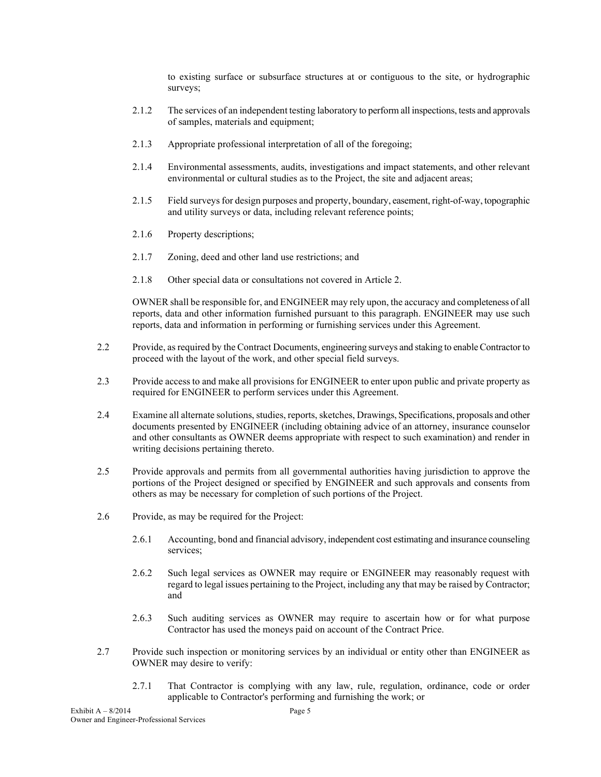to existing surface or subsurface structures at or contiguous to the site, or hydrographic surveys;

- 2.1.2 The services of an independent testing laboratory to perform all inspections, tests and approvals of samples, materials and equipment;
- 2.1.3 Appropriate professional interpretation of all of the foregoing;
- 2.1.4 Environmental assessments, audits, investigations and impact statements, and other relevant environmental or cultural studies as to the Project, the site and adjacent areas;
- 2.1.5 Field surveys for design purposes and property, boundary, easement, right-of-way, topographic and utility surveys or data, including relevant reference points;
- 2.1.6 Property descriptions;
- 2.1.7 Zoning, deed and other land use restrictions; and
- 2.1.8 Other special data or consultations not covered in Article 2.

 OWNER shall be responsible for, and ENGINEER may rely upon, the accuracy and completeness of all reports, data and other information furnished pursuant to this paragraph. ENGINEER may use such reports, data and information in performing or furnishing services under this Agreement.

- 2.2 Provide, as required by the Contract Documents, engineering surveys and staking to enable Contractor to proceed with the layout of the work, and other special field surveys.
- 2.3 Provide access to and make all provisions for ENGINEER to enter upon public and private property as required for ENGINEER to perform services under this Agreement.
- 2.4 Examine all alternate solutions, studies, reports, sketches, Drawings, Specifications, proposals and other documents presented by ENGINEER (including obtaining advice of an attorney, insurance counselor and other consultants as OWNER deems appropriate with respect to such examination) and render in writing decisions pertaining thereto.
- 2.5 Provide approvals and permits from all governmental authorities having jurisdiction to approve the portions of the Project designed or specified by ENGINEER and such approvals and consents from others as may be necessary for completion of such portions of the Project.
- 2.6 Provide, as may be required for the Project:
	- 2.6.1 Accounting, bond and financial advisory, independent cost estimating and insurance counseling services;
	- 2.6.2 Such legal services as OWNER may require or ENGINEER may reasonably request with regard to legal issues pertaining to the Project, including any that may be raised by Contractor; and
	- 2.6.3 Such auditing services as OWNER may require to ascertain how or for what purpose Contractor has used the moneys paid on account of the Contract Price.
- 2.7 Provide such inspection or monitoring services by an individual or entity other than ENGINEER as OWNER may desire to verify:
	- 2.7.1 That Contractor is complying with any law, rule, regulation, ordinance, code or order applicable to Contractor's performing and furnishing the work; or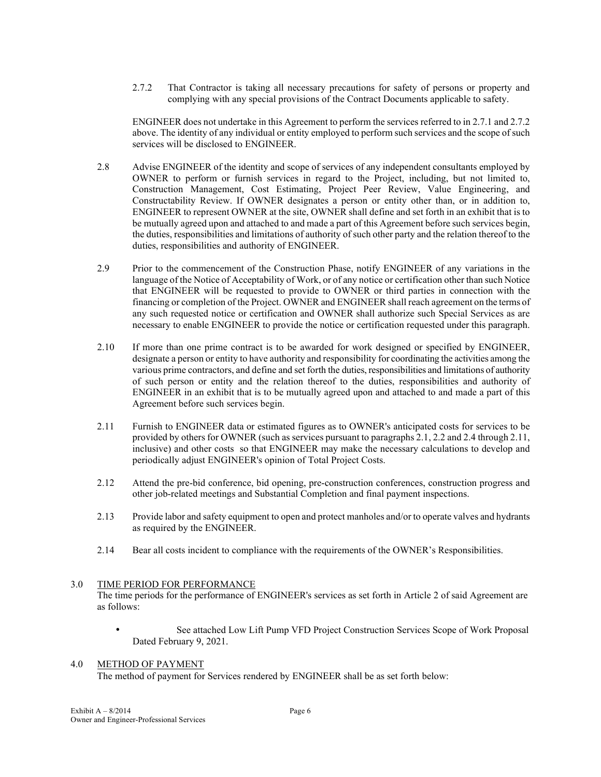2.7.2 That Contractor is taking all necessary precautions for safety of persons or property and complying with any special provisions of the Contract Documents applicable to safety.

ENGINEER does not undertake in this Agreement to perform the services referred to in 2.7.1 and 2.7.2 above. The identity of any individual or entity employed to perform such services and the scope of such services will be disclosed to ENGINEER.

- 2.8 Advise ENGINEER of the identity and scope of services of any independent consultants employed by OWNER to perform or furnish services in regard to the Project, including, but not limited to, Construction Management, Cost Estimating, Project Peer Review, Value Engineering, and Constructability Review. If OWNER designates a person or entity other than, or in addition to, ENGINEER to represent OWNER at the site, OWNER shall define and set forth in an exhibit that is to be mutually agreed upon and attached to and made a part of this Agreement before such services begin, the duties, responsibilities and limitations of authority of such other party and the relation thereof to the duties, responsibilities and authority of ENGINEER.
- 2.9 Prior to the commencement of the Construction Phase, notify ENGINEER of any variations in the language of the Notice of Acceptability of Work, or of any notice or certification other than such Notice that ENGINEER will be requested to provide to OWNER or third parties in connection with the financing or completion of the Project. OWNER and ENGINEER shall reach agreement on the terms of any such requested notice or certification and OWNER shall authorize such Special Services as are necessary to enable ENGINEER to provide the notice or certification requested under this paragraph.
- 2.10 If more than one prime contract is to be awarded for work designed or specified by ENGINEER, designate a person or entity to have authority and responsibility for coordinating the activities among the various prime contractors, and define and set forth the duties, responsibilities and limitations of authority of such person or entity and the relation thereof to the duties, responsibilities and authority of ENGINEER in an exhibit that is to be mutually agreed upon and attached to and made a part of this Agreement before such services begin.
- 2.11 Furnish to ENGINEER data or estimated figures as to OWNER's anticipated costs for services to be provided by others for OWNER (such as services pursuant to paragraphs 2.1, 2.2 and 2.4 through 2.11, inclusive) and other costs so that ENGINEER may make the necessary calculations to develop and periodically adjust ENGINEER's opinion of Total Project Costs.
- 2.12 Attend the pre-bid conference, bid opening, pre-construction conferences, construction progress and other job-related meetings and Substantial Completion and final payment inspections.
- 2.13 Provide labor and safety equipment to open and protect manholes and/or to operate valves and hydrants as required by the ENGINEER.
- 2.14 Bear all costs incident to compliance with the requirements of the OWNER's Responsibilities.

#### 3.0 TIME PERIOD FOR PERFORMANCE

The time periods for the performance of ENGINEER's services as set forth in Article 2 of said Agreement are as follows:

See attached Low Lift Pump VFD Project Construction Services Scope of Work Proposal Dated February 9, 2021.

#### 4.0 METHOD OF PAYMENT

The method of payment for Services rendered by ENGINEER shall be as set forth below: